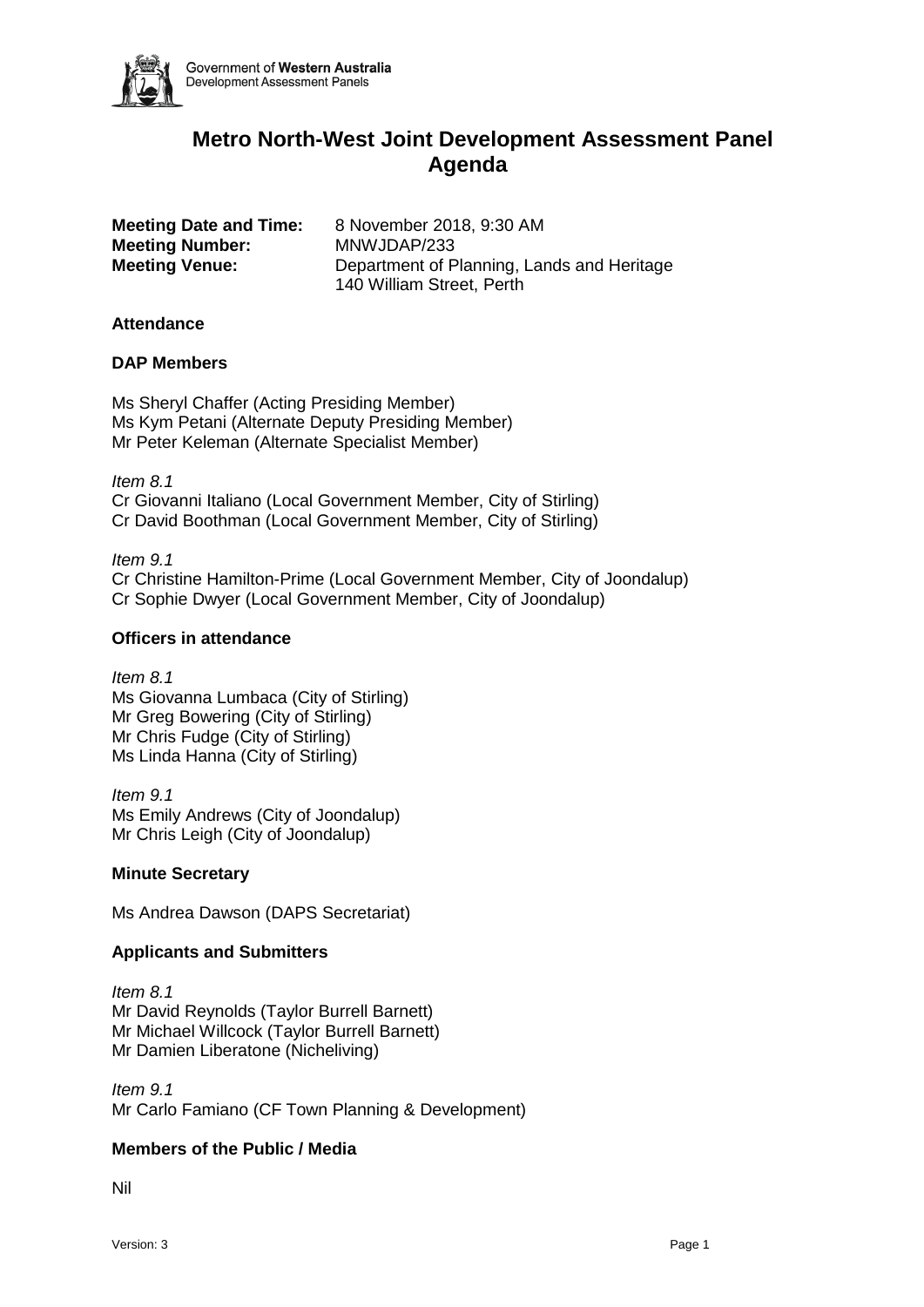

# **Metro North-West Joint Development Assessment Panel Agenda**

|                       | <b>Meeting Date and Time</b> |  |
|-----------------------|------------------------------|--|
|                       | <b>Meeting Number:</b>       |  |
| <b>Meeting Venue:</b> |                              |  |

**a:** 8 November 2018, 9:30 AM **Meeting Number:** MNWJDAP/233 Department of Planning, Lands and Heritage 140 William Street, Perth

## **Attendance**

## **DAP Members**

Ms Sheryl Chaffer (Acting Presiding Member) Ms Kym Petani (Alternate Deputy Presiding Member) Mr Peter Keleman (Alternate Specialist Member)

*Item 8.1* Cr Giovanni Italiano (Local Government Member, City of Stirling) Cr David Boothman (Local Government Member, City of Stirling)

*Item 9.1* Cr Christine Hamilton-Prime (Local Government Member, City of Joondalup) Cr Sophie Dwyer (Local Government Member, City of Joondalup)

## **Officers in attendance**

*Item 8.1* Ms Giovanna Lumbaca (City of Stirling) Mr Greg Bowering (City of Stirling) Mr Chris Fudge (City of Stirling) Ms Linda Hanna (City of Stirling)

*Item 9.1* Ms Emily Andrews (City of Joondalup) Mr Chris Leigh (City of Joondalup)

#### **Minute Secretary**

Ms Andrea Dawson (DAPS Secretariat)

# **Applicants and Submitters**

*Item 8.1* Mr David Reynolds (Taylor Burrell Barnett) Mr Michael Willcock (Taylor Burrell Barnett) Mr Damien Liberatone (Nicheliving)

*Item 9.1* Mr Carlo Famiano (CF Town Planning & Development)

# **Members of the Public / Media**

Nil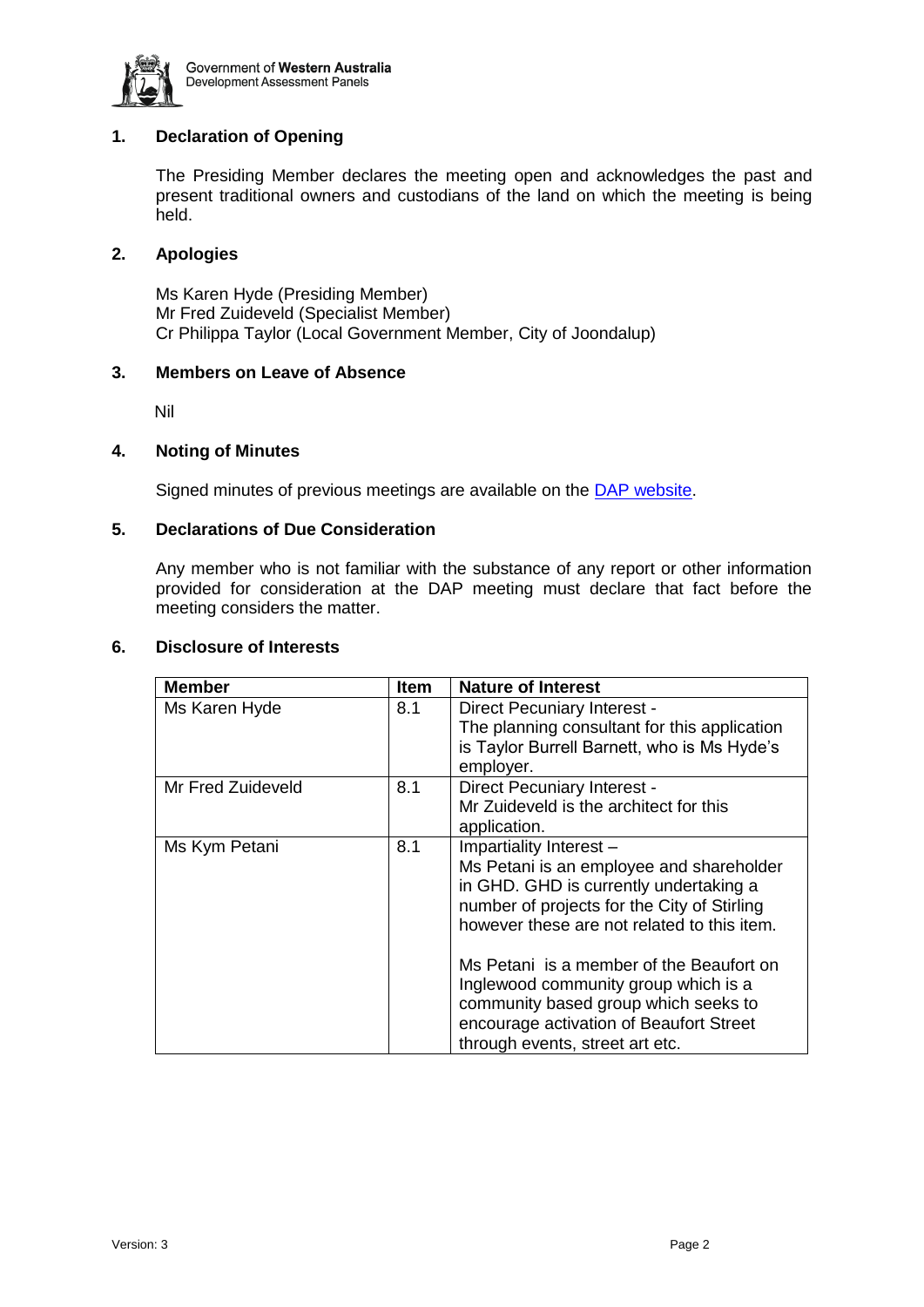

# **1. Declaration of Opening**

The Presiding Member declares the meeting open and acknowledges the past and present traditional owners and custodians of the land on which the meeting is being held.

## **2. Apologies**

Ms Karen Hyde (Presiding Member) Mr Fred Zuideveld (Specialist Member) Cr Philippa Taylor (Local Government Member, City of Joondalup)

#### **3. Members on Leave of Absence**

Nil

## **4. Noting of Minutes**

Signed minutes of previous meetings are available on the [DAP website.](https://www.planning.wa.gov.au/7578.aspx)

# **5. Declarations of Due Consideration**

Any member who is not familiar with the substance of any report or other information provided for consideration at the DAP meeting must declare that fact before the meeting considers the matter.

#### **6. Disclosure of Interests**

| <b>Member</b>     | <b>Item</b> | <b>Nature of Interest</b>                                                                                                                                                                                                                                                                                                                                                                                             |
|-------------------|-------------|-----------------------------------------------------------------------------------------------------------------------------------------------------------------------------------------------------------------------------------------------------------------------------------------------------------------------------------------------------------------------------------------------------------------------|
| Ms Karen Hyde     | 8.1         | Direct Pecuniary Interest -<br>The planning consultant for this application<br>is Taylor Burrell Barnett, who is Ms Hyde's<br>employer.                                                                                                                                                                                                                                                                               |
| Mr Fred Zuideveld | 8.1         | <b>Direct Pecuniary Interest -</b><br>Mr Zuideveld is the architect for this<br>application.                                                                                                                                                                                                                                                                                                                          |
| Ms Kym Petani     | 8.1         | Impartiality Interest -<br>Ms Petani is an employee and shareholder<br>in GHD. GHD is currently undertaking a<br>number of projects for the City of Stirling<br>however these are not related to this item.<br>Ms Petani is a member of the Beaufort on<br>Inglewood community group which is a<br>community based group which seeks to<br>encourage activation of Beaufort Street<br>through events, street art etc. |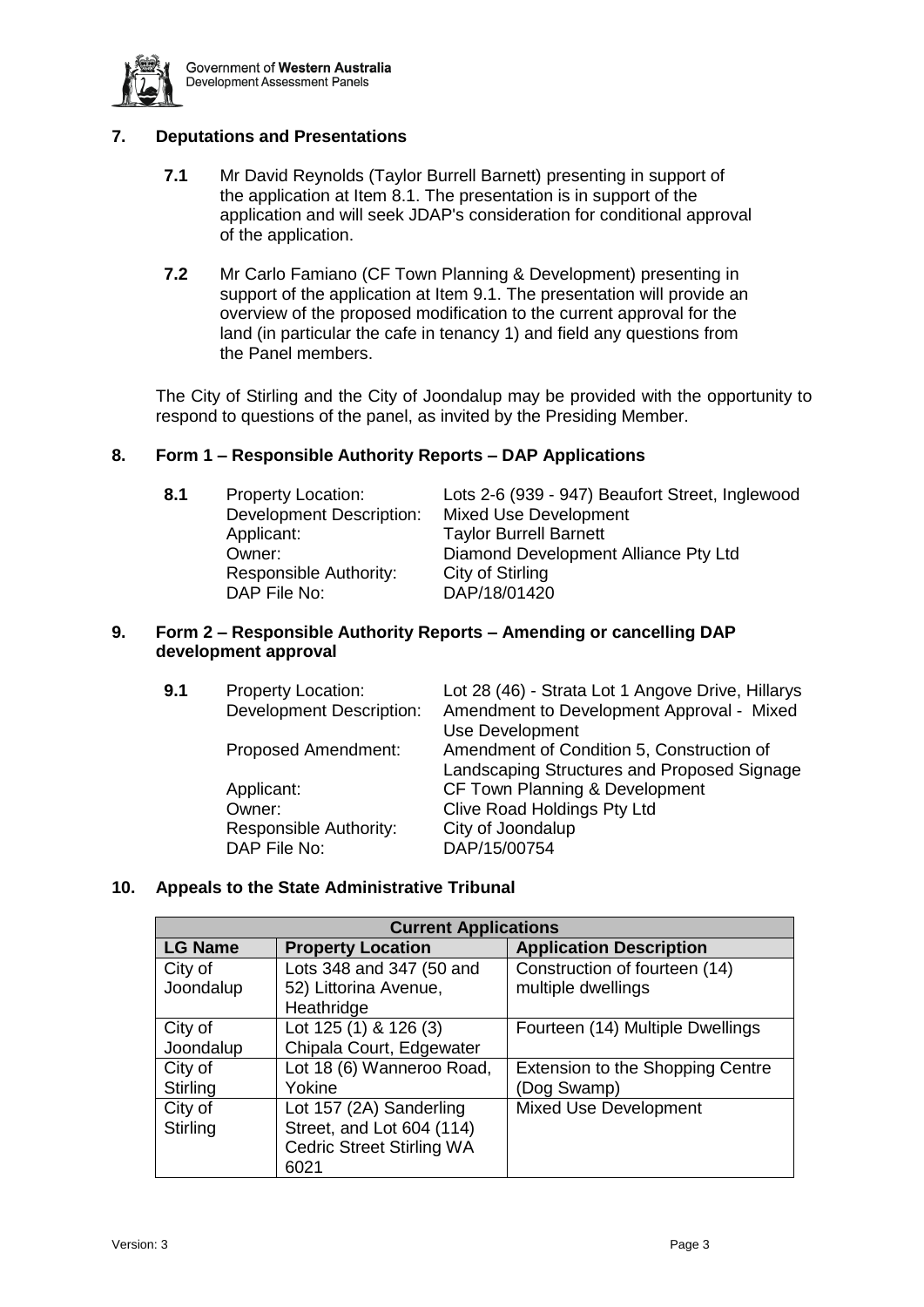

# **7. Deputations and Presentations**

- **7.1** Mr David Reynolds (Taylor Burrell Barnett) presenting in support of the application at Item 8.1. The presentation is in support of the application and will seek JDAP's consideration for conditional approval of the application.
- **7.2** Mr Carlo Famiano (CF Town Planning & Development) presenting in support of the application at Item 9.1. The presentation will provide an overview of the proposed modification to the current approval for the land (in particular the cafe in tenancy 1) and field any questions from the Panel members.

The City of Stirling and the City of Joondalup may be provided with the opportunity to respond to questions of the panel, as invited by the Presiding Member.

# **8. Form 1 – Responsible Authority Reports – DAP Applications**

Development Description: Mixed Use Development Applicant: Taylor Burrell Barnett Responsible Authority: City of Stirling DAP File No: DAP/18/01420

**8.1** Property Location: Lots 2-6 (939 - 947) Beaufort Street, Inglewood Owner: Diamond Development Alliance Pty Ltd

# **9. Form 2 – Responsible Authority Reports – Amending or cancelling DAP development approval**

| 9.1 | <b>Property Location:</b>       | Lot 28 (46) - Strata Lot 1 Angove Drive, Hillarys |
|-----|---------------------------------|---------------------------------------------------|
|     | <b>Development Description:</b> | Amendment to Development Approval - Mixed         |
|     |                                 | <b>Use Development</b>                            |
|     | <b>Proposed Amendment:</b>      | Amendment of Condition 5, Construction of         |
|     |                                 | Landscaping Structures and Proposed Signage       |
|     | Applicant:                      | CF Town Planning & Development                    |
|     | Owner:                          | Clive Road Holdings Pty Ltd                       |
|     | Responsible Authority:          | City of Joondalup                                 |
|     | DAP File No:                    | DAP/15/00754                                      |
|     |                                 |                                                   |

# **10. Appeals to the State Administrative Tribunal**

| <b>Current Applications</b> |                                  |                                         |  |  |
|-----------------------------|----------------------------------|-----------------------------------------|--|--|
| <b>LG Name</b>              | <b>Property Location</b>         | <b>Application Description</b>          |  |  |
| City of                     | Lots 348 and 347 (50 and         | Construction of fourteen (14)           |  |  |
| Joondalup                   | 52) Littorina Avenue,            | multiple dwellings                      |  |  |
|                             | Heathridge                       |                                         |  |  |
| City of                     | Lot 125 (1) & 126 (3)            | Fourteen (14) Multiple Dwellings        |  |  |
| Joondalup                   | Chipala Court, Edgewater         |                                         |  |  |
| City of                     | Lot 18 (6) Wanneroo Road,        | <b>Extension to the Shopping Centre</b> |  |  |
| Stirling                    | Yokine                           | (Dog Swamp)                             |  |  |
| City of                     | Lot 157 (2A) Sanderling          | <b>Mixed Use Development</b>            |  |  |
| Stirling                    | Street, and Lot 604 (114)        |                                         |  |  |
|                             | <b>Cedric Street Stirling WA</b> |                                         |  |  |
|                             | 6021                             |                                         |  |  |